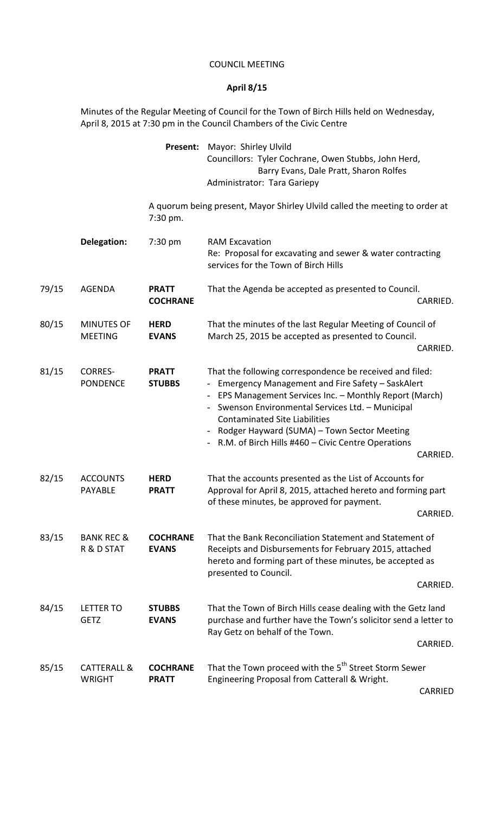## COUNCIL MEETING

## **April 8/15**

Minutes of the Regular Meeting of Council for the Town of Birch Hills held on Wednesday, April 8, 2015 at 7:30 pm in the Council Chambers of the Civic Centre

|       |                                         | Present:                        | Mayor: Shirley Ulvild<br>Councillors: Tyler Cochrane, Owen Stubbs, John Herd,<br>Barry Evans, Dale Pratt, Sharon Rolfes<br>Administrator: Tara Gariepy                                                                                                                                                                                                                                  |  |
|-------|-----------------------------------------|---------------------------------|-----------------------------------------------------------------------------------------------------------------------------------------------------------------------------------------------------------------------------------------------------------------------------------------------------------------------------------------------------------------------------------------|--|
|       |                                         | 7:30 pm.                        | A quorum being present, Mayor Shirley Ulvild called the meeting to order at                                                                                                                                                                                                                                                                                                             |  |
|       | Delegation:                             | $7:30 \text{ pm}$               | <b>RAM Excavation</b><br>Re: Proposal for excavating and sewer & water contracting<br>services for the Town of Birch Hills                                                                                                                                                                                                                                                              |  |
| 79/15 | <b>AGENDA</b>                           | <b>PRATT</b><br><b>COCHRANE</b> | That the Agenda be accepted as presented to Council.<br>CARRIED.                                                                                                                                                                                                                                                                                                                        |  |
| 80/15 | <b>MINUTES OF</b><br><b>MEETING</b>     | <b>HERD</b><br><b>EVANS</b>     | That the minutes of the last Regular Meeting of Council of<br>March 25, 2015 be accepted as presented to Council.<br>CARRIED.                                                                                                                                                                                                                                                           |  |
| 81/15 | <b>CORRES-</b><br><b>PONDENCE</b>       | <b>PRATT</b><br><b>STUBBS</b>   | That the following correspondence be received and filed:<br>- Emergency Management and Fire Safety - SaskAlert<br>- EPS Management Services Inc. - Monthly Report (March)<br>Swenson Environmental Services Ltd. - Municipal<br><b>Contaminated Site Liabilities</b><br>Rodger Hayward (SUMA) - Town Sector Meeting<br>- R.M. of Birch Hills #460 - Civic Centre Operations<br>CARRIED. |  |
| 82/15 | <b>ACCOUNTS</b><br>PAYABLE              | <b>HERD</b><br><b>PRATT</b>     | That the accounts presented as the List of Accounts for<br>Approval for April 8, 2015, attached hereto and forming part<br>of these minutes, be approved for payment.<br>CARRIED.                                                                                                                                                                                                       |  |
| 83/15 | <b>BANK REC &amp;</b><br>R & D STAT     | <b>COCHRANE</b><br><b>EVANS</b> | That the Bank Reconciliation Statement and Statement of<br>Receipts and Disbursements for February 2015, attached<br>hereto and forming part of these minutes, be accepted as<br>presented to Council.<br>CARRIED.                                                                                                                                                                      |  |
| 84/15 | <b>LETTER TO</b><br><b>GETZ</b>         | <b>STUBBS</b><br><b>EVANS</b>   | That the Town of Birch Hills cease dealing with the Getz land<br>purchase and further have the Town's solicitor send a letter to<br>Ray Getz on behalf of the Town.<br>CARRIED.                                                                                                                                                                                                         |  |
| 85/15 | <b>CATTERALL &amp;</b><br><b>WRIGHT</b> | <b>COCHRANE</b><br><b>PRATT</b> | That the Town proceed with the 5 <sup>th</sup> Street Storm Sewer<br>Engineering Proposal from Catterall & Wright.<br>CARRIED                                                                                                                                                                                                                                                           |  |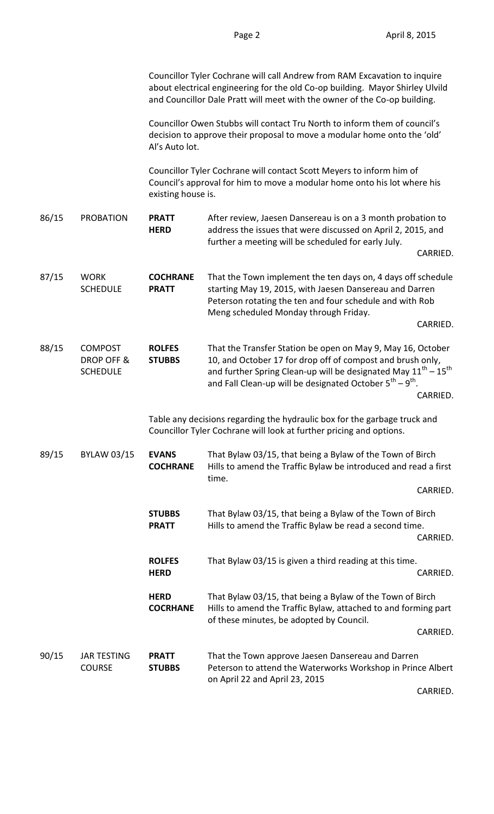|       |                                                 |                                                                                                                                                                         | Councillor Tyler Cochrane will call Andrew from RAM Excavation to inquire<br>about electrical engineering for the old Co-op building. Mayor Shirley Ulvild<br>and Councillor Dale Pratt will meet with the owner of the Co-op building.                                             |  |  |  |
|-------|-------------------------------------------------|-------------------------------------------------------------------------------------------------------------------------------------------------------------------------|-------------------------------------------------------------------------------------------------------------------------------------------------------------------------------------------------------------------------------------------------------------------------------------|--|--|--|
|       |                                                 | Councillor Owen Stubbs will contact Tru North to inform them of council's<br>decision to approve their proposal to move a modular home onto the 'old'<br>Al's Auto lot. |                                                                                                                                                                                                                                                                                     |  |  |  |
|       |                                                 | existing house is.                                                                                                                                                      | Councillor Tyler Cochrane will contact Scott Meyers to inform him of<br>Council's approval for him to move a modular home onto his lot where his                                                                                                                                    |  |  |  |
| 86/15 | <b>PROBATION</b>                                | <b>PRATT</b><br><b>HERD</b>                                                                                                                                             | After review, Jaesen Dansereau is on a 3 month probation to<br>address the issues that were discussed on April 2, 2015, and<br>further a meeting will be scheduled for early July.                                                                                                  |  |  |  |
|       |                                                 |                                                                                                                                                                         | CARRIED.                                                                                                                                                                                                                                                                            |  |  |  |
| 87/15 | <b>WORK</b><br><b>SCHEDULE</b>                  | <b>COCHRANE</b><br><b>PRATT</b>                                                                                                                                         | That the Town implement the ten days on, 4 days off schedule<br>starting May 19, 2015, with Jaesen Dansereau and Darren<br>Peterson rotating the ten and four schedule and with Rob<br>Meng scheduled Monday through Friday.                                                        |  |  |  |
|       |                                                 |                                                                                                                                                                         | CARRIED.                                                                                                                                                                                                                                                                            |  |  |  |
| 88/15 | <b>COMPOST</b><br>DROP OFF &<br><b>SCHEDULE</b> | <b>ROLFES</b><br><b>STUBBS</b>                                                                                                                                          | That the Transfer Station be open on May 9, May 16, October<br>10, and October 17 for drop off of compost and brush only,<br>and further Spring Clean-up will be designated May $11^{th} - 15^{th}$<br>and Fall Clean-up will be designated October $5^{th} - 9^{th}$ .<br>CARRIED. |  |  |  |
|       |                                                 |                                                                                                                                                                         | Table any decisions regarding the hydraulic box for the garbage truck and<br>Councillor Tyler Cochrane will look at further pricing and options.                                                                                                                                    |  |  |  |
| 89/15 | <b>BYLAW 03/15</b>                              | <b>EVANS</b><br><b>COCHRANE</b>                                                                                                                                         | That Bylaw 03/15, that being a Bylaw of the Town of Birch<br>Hills to amend the Traffic Bylaw be introduced and read a first<br>time.                                                                                                                                               |  |  |  |
|       |                                                 |                                                                                                                                                                         | CARRIED.                                                                                                                                                                                                                                                                            |  |  |  |
|       |                                                 | <b>STUBBS</b><br><b>PRATT</b>                                                                                                                                           | That Bylaw 03/15, that being a Bylaw of the Town of Birch<br>Hills to amend the Traffic Bylaw be read a second time.<br>CARRIED.                                                                                                                                                    |  |  |  |
|       |                                                 | <b>ROLFES</b><br><b>HERD</b>                                                                                                                                            | That Bylaw 03/15 is given a third reading at this time.<br>CARRIED.                                                                                                                                                                                                                 |  |  |  |
|       |                                                 | <b>HERD</b><br><b>COCRHANE</b>                                                                                                                                          | That Bylaw 03/15, that being a Bylaw of the Town of Birch<br>Hills to amend the Traffic Bylaw, attached to and forming part<br>of these minutes, be adopted by Council.                                                                                                             |  |  |  |
|       |                                                 |                                                                                                                                                                         | CARRIED.                                                                                                                                                                                                                                                                            |  |  |  |
| 90/15 | <b>JAR TESTING</b><br><b>COURSE</b>             | <b>PRATT</b><br><b>STUBBS</b>                                                                                                                                           | That the Town approve Jaesen Dansereau and Darren<br>Peterson to attend the Waterworks Workshop in Prince Albert<br>on April 22 and April 23, 2015                                                                                                                                  |  |  |  |

CARRIED.